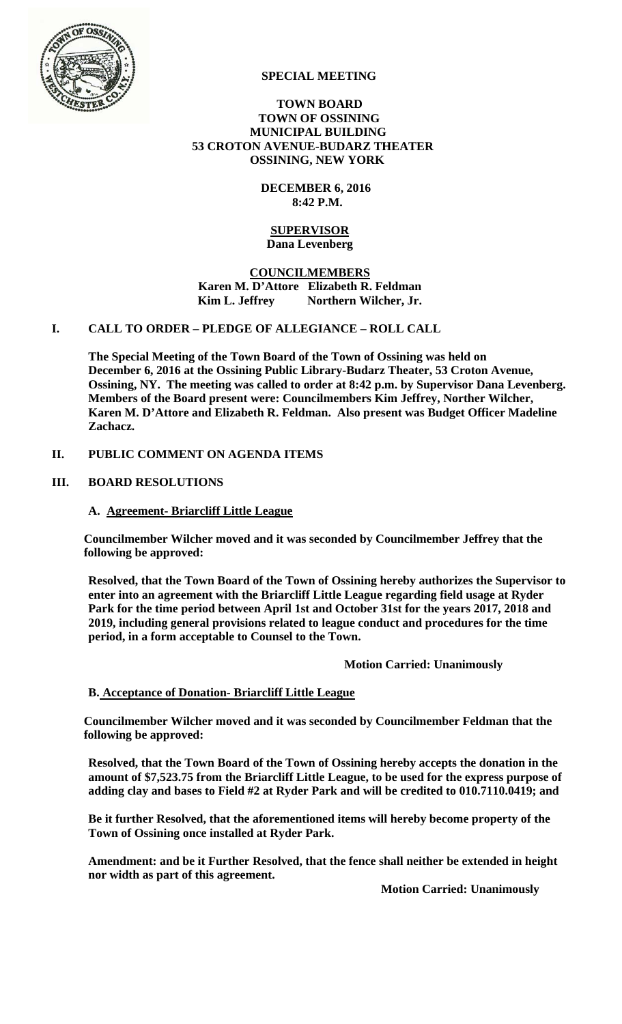

### **SPECIAL MEETING**

### **TOWN BOARD TOWN OF OSSINING MUNICIPAL BUILDING 53 CROTON AVENUE-BUDARZ THEATER OSSINING, NEW YORK**

 **DECEMBER 6, 2016 8:42 P.M.** 

#### **SUPERVISOR Dana Levenberg**

## **COUNCILMEMBERS Karen M. D'Attore Elizabeth R. Feldman**  Kim L. Jeffrey Northern Wilcher, Jr.

### **I. CALL TO ORDER – PLEDGE OF ALLEGIANCE – ROLL CALL**

**The Special Meeting of the Town Board of the Town of Ossining was held on December 6, 2016 at the Ossining Public Library-Budarz Theater, 53 Croton Avenue, Ossining, NY. The meeting was called to order at 8:42 p.m. by Supervisor Dana Levenberg. Members of the Board present were: Councilmembers Kim Jeffrey, Norther Wilcher, Karen M. D'Attore and Elizabeth R. Feldman. Also present was Budget Officer Madeline Zachacz.** 

## **II. PUBLIC COMMENT ON AGENDA ITEMS**

## **III. BOARD RESOLUTIONS**

### **A. Agreement- Briarcliff Little League**

**Councilmember Wilcher moved and it was seconded by Councilmember Jeffrey that the following be approved:** 

**Resolved, that the Town Board of the Town of Ossining hereby authorizes the Supervisor to enter into an agreement with the Briarcliff Little League regarding field usage at Ryder Park for the time period between April 1st and October 31st for the years 2017, 2018 and 2019, including general provisions related to league conduct and procedures for the time period, in a form acceptable to Counsel to the Town.** 

 **Motion Carried: Unanimously** 

## **B. Acceptance of Donation- Briarcliff Little League**

**Councilmember Wilcher moved and it was seconded by Councilmember Feldman that the following be approved:** 

**Resolved, that the Town Board of the Town of Ossining hereby accepts the donation in the amount of \$7,523.75 from the Briarcliff Little League, to be used for the express purpose of adding clay and bases to Field #2 at Ryder Park and will be credited to 010.7110.0419; and** 

**Be it further Resolved, that the aforementioned items will hereby become property of the Town of Ossining once installed at Ryder Park.** 

**Amendment: and be it Further Resolved, that the fence shall neither be extended in height nor width as part of this agreement.** 

 **Motion Carried: Unanimously**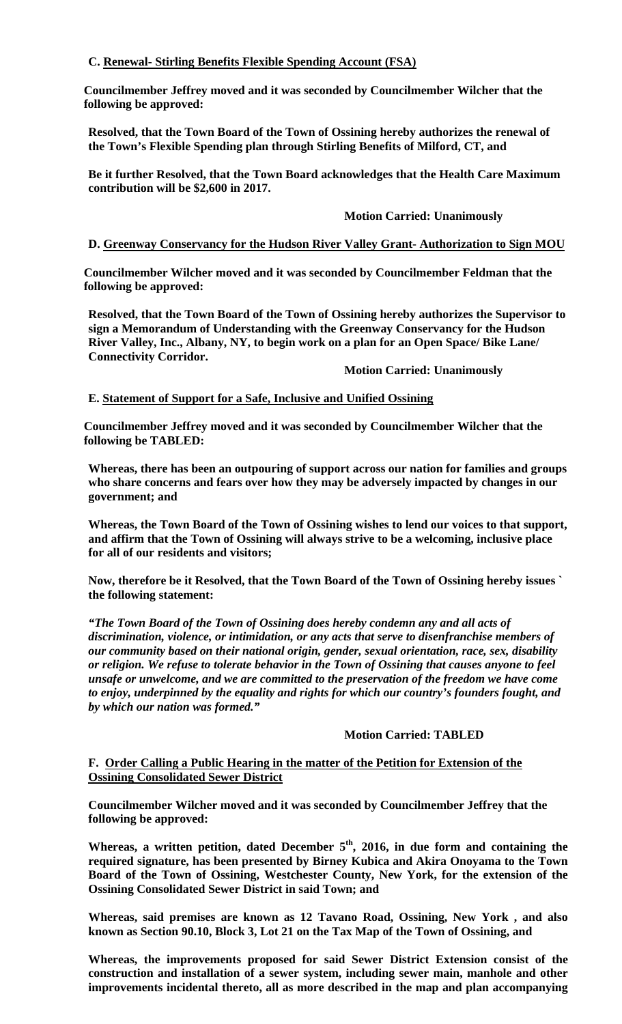# **C. Renewal- Stirling Benefits Flexible Spending Account (FSA)**

**Councilmember Jeffrey moved and it was seconded by Councilmember Wilcher that the following be approved:** 

**Resolved, that the Town Board of the Town of Ossining hereby authorizes the renewal of the Town's Flexible Spending plan through Stirling Benefits of Milford, CT, and** 

**Be it further Resolved, that the Town Board acknowledges that the Health Care Maximum contribution will be \$2,600 in 2017.** 

### **Motion Carried: Unanimously**

## **D. Greenway Conservancy for the Hudson River Valley Grant- Authorization to Sign MOU**

**Councilmember Wilcher moved and it was seconded by Councilmember Feldman that the following be approved:** 

**Resolved, that the Town Board of the Town of Ossining hereby authorizes the Supervisor to sign a Memorandum of Understanding with the Greenway Conservancy for the Hudson River Valley, Inc., Albany, NY, to begin work on a plan for an Open Space/ Bike Lane/ Connectivity Corridor.** 

#### **Motion Carried: Unanimously**

## **E. Statement of Support for a Safe, Inclusive and Unified Ossining**

**Councilmember Jeffrey moved and it was seconded by Councilmember Wilcher that the following be TABLED:** 

**Whereas, there has been an outpouring of support across our nation for families and groups who share concerns and fears over how they may be adversely impacted by changes in our government; and** 

**Whereas, the Town Board of the Town of Ossining wishes to lend our voices to that support, and affirm that the Town of Ossining will always strive to be a welcoming, inclusive place for all of our residents and visitors;** 

**Now, therefore be it Resolved, that the Town Board of the Town of Ossining hereby issues ` the following statement:** 

*"The Town Board of the Town of Ossining does hereby condemn any and all acts of discrimination, violence, or intimidation, or any acts that serve to disenfranchise members of our community based on their national origin, gender, sexual orientation, race, sex, disability or religion. We refuse to tolerate behavior in the Town of Ossining that causes anyone to feel unsafe or unwelcome, and we are committed to the preservation of the freedom we have come to enjoy, underpinned by the equality and rights for which our country's founders fought, and by which our nation was formed."* 

### **Motion Carried: TABLED**

### **F. Order Calling a Public Hearing in the matter of the Petition for Extension of the Ossining Consolidated Sewer District**

**Councilmember Wilcher moved and it was seconded by Councilmember Jeffrey that the following be approved:** 

**Whereas, a written petition, dated December 5th, 2016, in due form and containing the required signature, has been presented by Birney Kubica and Akira Onoyama to the Town Board of the Town of Ossining, Westchester County, New York, for the extension of the Ossining Consolidated Sewer District in said Town; and** 

**Whereas, said premises are known as 12 Tavano Road, Ossining, New York , and also known as Section 90.10, Block 3, Lot 21 on the Tax Map of the Town of Ossining, and** 

**Whereas, the improvements proposed for said Sewer District Extension consist of the construction and installation of a sewer system, including sewer main, manhole and other improvements incidental thereto, all as more described in the map and plan accompanying**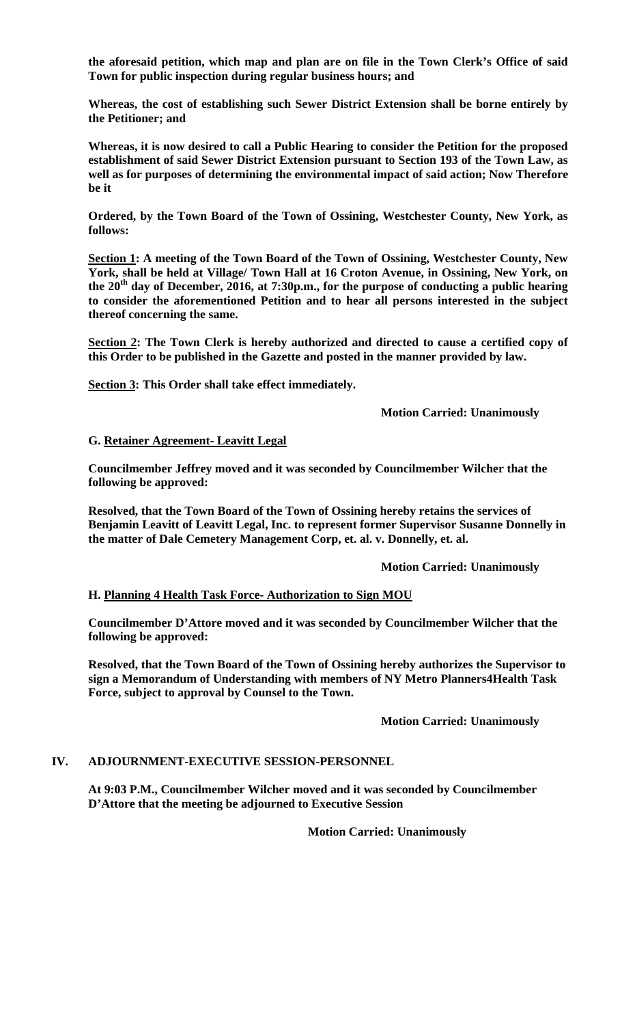**the aforesaid petition, which map and plan are on file in the Town Clerk's Office of said Town for public inspection during regular business hours; and** 

**Whereas, the cost of establishing such Sewer District Extension shall be borne entirely by the Petitioner; and**

**Whereas, it is now desired to call a Public Hearing to consider the Petition for the proposed establishment of said Sewer District Extension pursuant to Section 193 of the Town Law, as well as for purposes of determining the environmental impact of said action; Now Therefore be it**

**Ordered, by the Town Board of the Town of Ossining, Westchester County, New York, as follows:**

**Section 1: A meeting of the Town Board of the Town of Ossining, Westchester County, New York, shall be held at Village/ Town Hall at 16 Croton Avenue, in Ossining, New York, on the 20th day of December, 2016, at 7:30p.m., for the purpose of conducting a public hearing to consider the aforementioned Petition and to hear all persons interested in the subject thereof concerning the same.**

**Section 2: The Town Clerk is hereby authorized and directed to cause a certified copy of this Order to be published in the Gazette and posted in the manner provided by law.**

**Section 3: This Order shall take effect immediately.** 

 **Motion Carried: Unanimously** 

#### **G. Retainer Agreement- Leavitt Legal**

**Councilmember Jeffrey moved and it was seconded by Councilmember Wilcher that the following be approved:** 

**Resolved, that the Town Board of the Town of Ossining hereby retains the services of Benjamin Leavitt of Leavitt Legal, Inc. to represent former Supervisor Susanne Donnelly in the matter of Dale Cemetery Management Corp, et. al. v. Donnelly, et. al.** 

#### **Motion Carried: Unanimously**

#### **H. Planning 4 Health Task Force- Authorization to Sign MOU**

**Councilmember D'Attore moved and it was seconded by Councilmember Wilcher that the following be approved:** 

**Resolved, that the Town Board of the Town of Ossining hereby authorizes the Supervisor to sign a Memorandum of Understanding with members of NY Metro Planners4Health Task Force, subject to approval by Counsel to the Town.** 

#### **Motion Carried: Unanimously**

#### **IV. ADJOURNMENT-EXECUTIVE SESSION-PERSONNEL**

**At 9:03 P.M., Councilmember Wilcher moved and it was seconded by Councilmember D'Attore that the meeting be adjourned to Executive Session** 

**Motion Carried: Unanimously**